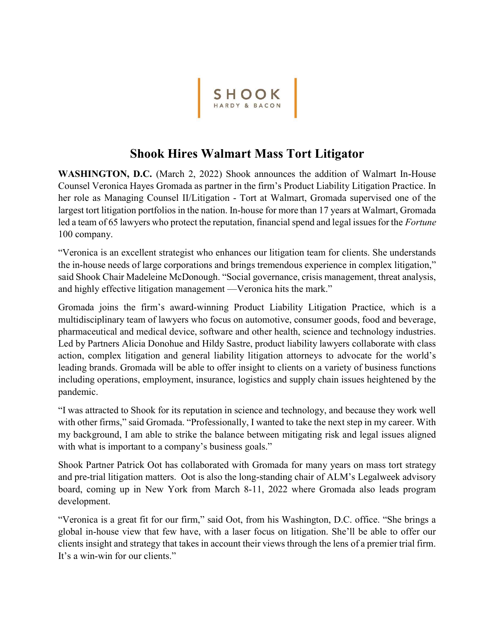

## Shook Hires Walmart Mass Tort Litigator

WASHINGTON, D.C. (March 2, 2022) Shook announces the addition of Walmart In-House Counsel Veronica Hayes Gromada as partner in the firm's Product Liability Litigation Practice. In her role as Managing Counsel II/Litigation - Tort at Walmart, Gromada supervised one of the largest tort litigation portfolios in the nation. In-house for more than 17 years at Walmart, Gromada led a team of 65 lawyers who protect the reputation, financial spend and legal issues for the Fortune 100 company.

"Veronica is an excellent strategist who enhances our litigation team for clients. She understands the in-house needs of large corporations and brings tremendous experience in complex litigation," said Shook Chair Madeleine McDonough. "Social governance, crisis management, threat analysis, and highly effective litigation management —Veronica hits the mark."

Gromada joins the firm's award-winning Product Liability Litigation Practice, which is a multidisciplinary team of lawyers who focus on automotive, consumer goods, food and beverage, pharmaceutical and medical device, software and other health, science and technology industries. Led by Partners Alicia Donohue and Hildy Sastre, product liability lawyers collaborate with class action, complex litigation and general liability litigation attorneys to advocate for the world's leading brands. Gromada will be able to offer insight to clients on a variety of business functions including operations, employment, insurance, logistics and supply chain issues heightened by the pandemic.

"I was attracted to Shook for its reputation in science and technology, and because they work well with other firms," said Gromada. "Professionally, I wanted to take the next step in my career. With my background, I am able to strike the balance between mitigating risk and legal issues aligned with what is important to a company's business goals."

Shook Partner Patrick Oot has collaborated with Gromada for many years on mass tort strategy and pre-trial litigation matters. Oot is also the long-standing chair of ALM's Legalweek advisory board, coming up in New York from March 8-11, 2022 where Gromada also leads program development.

"Veronica is a great fit for our firm," said Oot, from his Washington, D.C. office. "She brings a global in-house view that few have, with a laser focus on litigation. She'll be able to offer our clients insight and strategy that takes in account their views through the lens of a premier trial firm. It's a win-win for our clients."